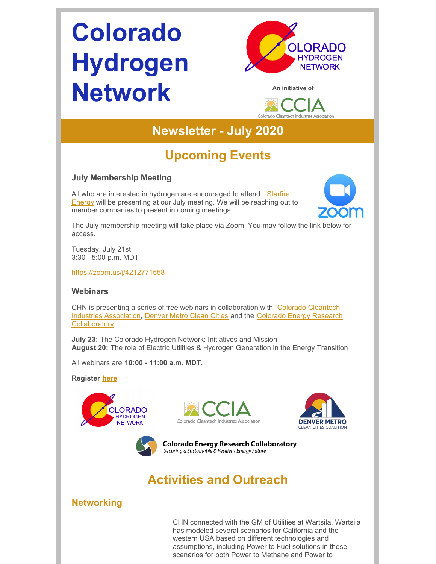# **Colorado Hydrogen Network**



**An initiative of**



## **Newsletter - July 2020**

# **Upcoming Events**

#### **July Membership Meeting**

All who are interested in hydrogen are [encouraged](https://www.starfireenergy.com/) to attend. Starfire Energy will be presenting at our July meeting. We will be reaching out to member companies to present in coming meetings.



The July membership meeting will take place via Zoom. You may follow the link below for access.

Tuesday, July 21st 3:30 - 5:00 p.m. MDT

<https://zoom.us/j/4212771558>

#### **Webinars**

CHN is presenting a series of free webinars in [collaboration](https://coloradocleantech.com/) with Colorado Cleantech Industries Association, [Denver](https://denvermetrocleancities.org/) Metro Clean Cities and the Colorado Energy Research [Collaboratory.](https://www.coloradocollaboratory.org/)

**July 23:** The Colorado Hydrogen Network: Initiatives and Mission **August 20:** The role of Electric Utilities & Hydrogen Generation in the Energy Transition

All webinars are **10:00 - 11:00 a.m. MDT.**

**Register [here](https://cercsymposium.org/collaboratory-hosted-webinars-2020-2021/)**









## **Activities and Outreach**

#### **Networking**

CHN connected with the GM of Utilities at Wartsila. Wartsila has modeled several scenarios for California and the western USA based on different technologies and assumptions, including Power to Fuel solutions in these scenarios for both Power to Methane and Power to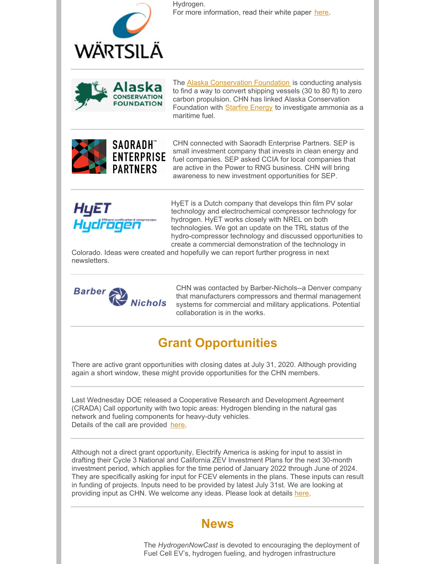

Hydrogen. For more information, read their white paper [here](https://files.constantcontact.com/5238c99f001/73507b10-030f-483e-a863-12aee258046e.pdf).



The Alaska [Conservation](https://alaskaconservation.org/) Foundation is conducting analysis to find a way to convert shipping vessels (30 to 80 ft) to zero carbon propulsion. CHN has linked Alaska Conservation Foundation with **[Starfire](https://www.starfireenergy.com/) Energy** to investigate ammonia as a maritime fuel.



CHN connected with Saoradh Enterprise Partners. SEP is small investment company that invests in clean energy and fuel companies. SEP asked CCIA for local companies that are active in the Power to RNG business. CHN will bring awareness to new investment opportunities for SEP.



HyET is a Dutch company that develops thin film PV solar technology and electrochemical compressor technology for hydrogen. HyET works closely with NREL on both technologies. We got an update on the TRL status of the hydro-compressor technology and discussed opportunities to create a commercial demonstration of the technology in

Colorado. Ideas were created and hopefully we can report further progress in next newsletters.



CHN was contacted by Barber-Nichols--a Denver company that manufacturers compressors and thermal management systems for commercial and military applications. Potential collaboration is in the works.

## **Grant Opportunities**

There are active grant opportunities with closing dates at July 31, 2020. Although providing again a short window, these might provide opportunities for the CHN members.

Last Wednesday DOE released a Cooperative Research and Development Agreement (CRADA) Call opportunity with two topic areas: Hydrogen blending in the natural gas network and fueling components for heavy-duty vehicles. Details of the call are provided [here](https://urldefense.proofpoint.com/v2/url?u=https-3A__www.nrel.gov_hydrogen_h2-2Dat-2Dscale-2Dcrada-2Dcall.html&d=DwMF-g&c=sdnEM9SRGFuMt5z5w3AhsPNahmNicq64TgF1JwNR0cs&r=QeRC0QcD0c2iiXyPYjlbF2D7u6Cvk_03MseUWlrJuQk&m=1tHd4JaYDzGpS4LEllXnbaW5XnCQ80fzNW20RsTRmSA&s=kD0MW9nEu2kUxkoOfXw6wWFxZYwRJH2WENC_Utf7IM8&e=).

Although not a direct grant opportunity, Electrify America is asking for input to assist in drafting their Cycle 3 National and California ZEV Investment Plans for the next 30-month investment period, which applies for the time period of January 2022 through June of 2024. They are specifically asking for input for FCEV elements in the plans. These inputs can result in funding of projects. Inputs need to be provided by latest July 31st. We are looking at providing input as CHN. We welcome any ideas. Please look at details [here](https://www.electrifyamerica.com/submissions/).

### **News**

The *HydrogenNowCast* is devoted to encouraging the deployment of Fuel Cell EV's, hydrogen fueling, and hydrogen infrastructure